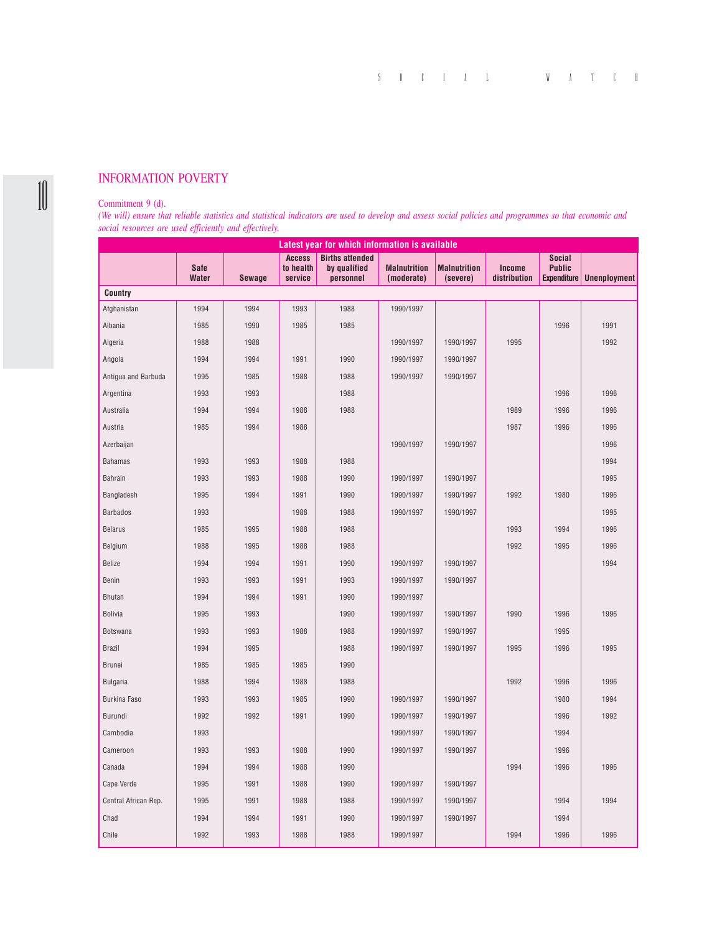## INFORMATION POVERTY

## Commitment 9 (d).

10

*(We will) ensure that reliable statistics and statistical indicators are used to develop and assess social policies and programmes so that economic and social resources are used efficiently and effectively.*

| Latest year for which information is available |                             |        |                                       |                                                     |                                   |                                 |                               |                                                      |                     |
|------------------------------------------------|-----------------------------|--------|---------------------------------------|-----------------------------------------------------|-----------------------------------|---------------------------------|-------------------------------|------------------------------------------------------|---------------------|
|                                                | <b>Safe</b><br><b>Water</b> | Sewage | <b>Access</b><br>to health<br>service | <b>Births attended</b><br>by qualified<br>personnel | <b>Malnutrition</b><br>(moderate) | <b>Malnutrition</b><br>(severe) | <b>Income</b><br>distribution | <b>Social</b><br><b>Public</b><br><b>Expenditure</b> | <b>Unenployment</b> |
| Country                                        |                             |        |                                       |                                                     |                                   |                                 |                               |                                                      |                     |
| Afghanistan                                    | 1994                        | 1994   | 1993                                  | 1988                                                | 1990/1997                         |                                 |                               |                                                      |                     |
| Albania                                        | 1985                        | 1990   | 1985                                  | 1985                                                |                                   |                                 |                               | 1996                                                 | 1991                |
| Algeria                                        | 1988                        | 1988   |                                       |                                                     | 1990/1997                         | 1990/1997                       | 1995                          |                                                      | 1992                |
| Angola                                         | 1994                        | 1994   | 1991                                  | 1990                                                | 1990/1997                         | 1990/1997                       |                               |                                                      |                     |
| Antigua and Barbuda                            | 1995                        | 1985   | 1988                                  | 1988                                                | 1990/1997                         | 1990/1997                       |                               |                                                      |                     |
| Argentina                                      | 1993                        | 1993   |                                       | 1988                                                |                                   |                                 |                               | 1996                                                 | 1996                |
| Australia                                      | 1994                        | 1994   | 1988                                  | 1988                                                |                                   |                                 | 1989                          | 1996                                                 | 1996                |
| Austria                                        | 1985                        | 1994   | 1988                                  |                                                     |                                   |                                 | 1987                          | 1996                                                 | 1996                |
| Azerbaijan                                     |                             |        |                                       |                                                     | 1990/1997                         | 1990/1997                       |                               |                                                      | 1996                |
| <b>Bahamas</b>                                 | 1993                        | 1993   | 1988                                  | 1988                                                |                                   |                                 |                               |                                                      | 1994                |
| Bahrain                                        | 1993                        | 1993   | 1988                                  | 1990                                                | 1990/1997                         | 1990/1997                       |                               |                                                      | 1995                |
| Bangladesh                                     | 1995                        | 1994   | 1991                                  | 1990                                                | 1990/1997                         | 1990/1997                       | 1992                          | 1980                                                 | 1996                |
| <b>Barbados</b>                                | 1993                        |        | 1988                                  | 1988                                                | 1990/1997                         | 1990/1997                       |                               |                                                      | 1995                |
| <b>Belarus</b>                                 | 1985                        | 1995   | 1988                                  | 1988                                                |                                   |                                 | 1993                          | 1994                                                 | 1996                |
| Belgium                                        | 1988                        | 1995   | 1988                                  | 1988                                                |                                   |                                 | 1992                          | 1995                                                 | 1996                |
| <b>Belize</b>                                  | 1994                        | 1994   | 1991                                  | 1990                                                | 1990/1997                         | 1990/1997                       |                               |                                                      | 1994                |
| Benin                                          | 1993                        | 1993   | 1991                                  | 1993                                                | 1990/1997                         | 1990/1997                       |                               |                                                      |                     |
| <b>Bhutan</b>                                  | 1994                        | 1994   | 1991                                  | 1990                                                | 1990/1997                         |                                 |                               |                                                      |                     |
| <b>Bolivia</b>                                 | 1995                        | 1993   |                                       | 1990                                                | 1990/1997                         | 1990/1997                       | 1990                          | 1996                                                 | 1996                |
| Botswana                                       | 1993                        | 1993   | 1988                                  | 1988                                                | 1990/1997                         | 1990/1997                       |                               | 1995                                                 |                     |
| <b>Brazil</b>                                  | 1994                        | 1995   |                                       | 1988                                                | 1990/1997                         | 1990/1997                       | 1995                          | 1996                                                 | 1995                |
| Brunei                                         | 1985                        | 1985   | 1985                                  | 1990                                                |                                   |                                 |                               |                                                      |                     |
| <b>Bulgaria</b>                                | 1988                        | 1994   | 1988                                  | 1988                                                |                                   |                                 | 1992                          | 1996                                                 | 1996                |
| <b>Burkina Faso</b>                            | 1993                        | 1993   | 1985                                  | 1990                                                | 1990/1997                         | 1990/1997                       |                               | 1980                                                 | 1994                |
| Burundi                                        | 1992                        | 1992   | 1991                                  | 1990                                                | 1990/1997                         | 1990/1997                       |                               | 1996                                                 | 1992                |
| Cambodia                                       | 1993                        |        |                                       |                                                     | 1990/1997                         | 1990/1997                       |                               | 1994                                                 |                     |
| Cameroon                                       | 1993                        | 1993   | 1988                                  | 1990                                                | 1990/1997                         | 1990/1997                       |                               | 1996                                                 |                     |
| Canada                                         | 1994                        | 1994   | 1988                                  | 1990                                                |                                   |                                 | 1994                          | 1996                                                 | 1996                |
| Cape Verde                                     | 1995                        | 1991   | 1988                                  | 1990                                                | 1990/1997                         | 1990/1997                       |                               |                                                      |                     |
| Central African Rep.                           | 1995                        | 1991   | 1988                                  | 1988                                                | 1990/1997                         | 1990/1997                       |                               | 1994                                                 | 1994                |
| Chad                                           | 1994                        | 1994   | 1991                                  | 1990                                                | 1990/1997                         | 1990/1997                       |                               | 1994                                                 |                     |
| Chile                                          | 1992                        | 1993   | 1988                                  | 1988                                                | 1990/1997                         |                                 | 1994                          | 1996                                                 | 1996                |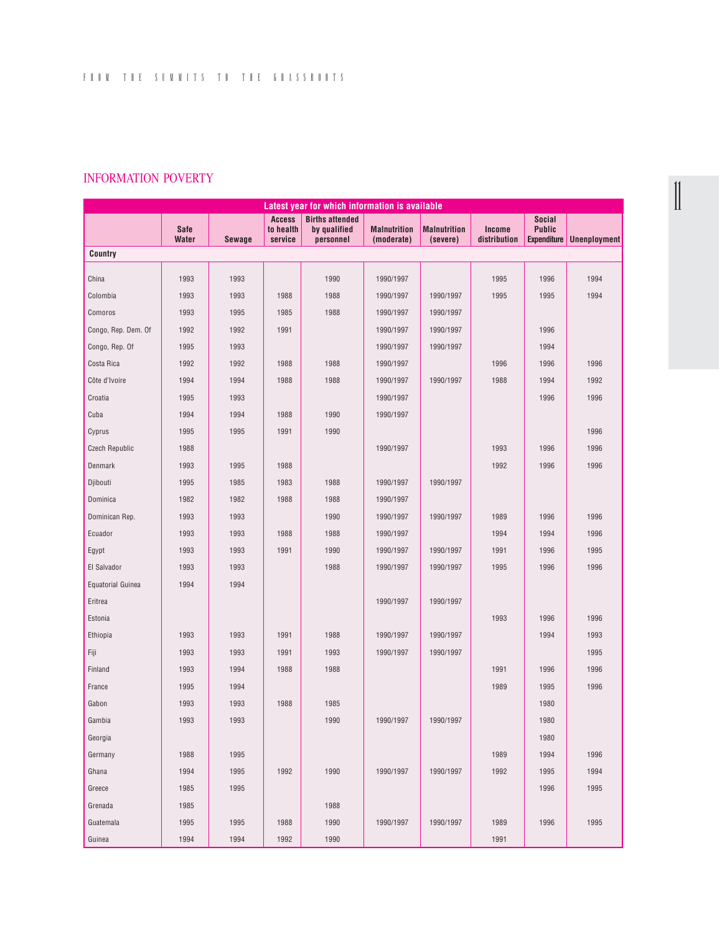## INFORMATION POVERTY

| Latest year for which information is available |              |               |                            |                                        |                     |                     |              |                                |                     |
|------------------------------------------------|--------------|---------------|----------------------------|----------------------------------------|---------------------|---------------------|--------------|--------------------------------|---------------------|
|                                                | <b>Safe</b>  |               | <b>Access</b><br>to health | <b>Births attended</b><br>by qualified | <b>Malnutrition</b> | <b>Malnutrition</b> | Income       | <b>Social</b><br><b>Public</b> |                     |
|                                                | <b>Water</b> | <b>Sewage</b> | service                    | personnel                              | (moderate)          | (severe)            | distribution | <b>Expenditure</b>             | <b>Unenployment</b> |
| Country                                        |              |               |                            |                                        |                     |                     |              |                                |                     |
| China                                          | 1993         | 1993          |                            | 1990                                   | 1990/1997           |                     | 1995         | 1996                           | 1994                |
| Colombia                                       | 1993         | 1993          | 1988                       | 1988                                   | 1990/1997           | 1990/1997           | 1995         | 1995                           | 1994                |
| Comoros                                        | 1993         | 1995          | 1985                       | 1988                                   | 1990/1997           | 1990/1997           |              |                                |                     |
| Congo, Rep. Dem. Of                            | 1992         | 1992          | 1991                       |                                        | 1990/1997           | 1990/1997           |              | 1996                           |                     |
| Congo, Rep. Of                                 | 1995         | 1993          |                            |                                        | 1990/1997           | 1990/1997           |              | 1994                           |                     |
| Costa Rica                                     | 1992         | 1992          | 1988                       | 1988                                   | 1990/1997           |                     | 1996         | 1996                           | 1996                |
| Côte d'Ivoire                                  | 1994         | 1994          | 1988                       | 1988                                   |                     |                     | 1988         |                                | 1992                |
|                                                |              |               |                            |                                        | 1990/1997           | 1990/1997           |              | 1994                           |                     |
| Croatia                                        | 1995         | 1993          |                            |                                        | 1990/1997           |                     |              | 1996                           | 1996                |
| Cuba                                           | 1994         | 1994          | 1988                       | 1990                                   | 1990/1997           |                     |              |                                |                     |
| Cyprus                                         | 1995         | 1995          | 1991                       | 1990                                   |                     |                     |              |                                | 1996                |
| <b>Czech Republic</b>                          | 1988         |               |                            |                                        | 1990/1997           |                     | 1993         | 1996                           | 1996                |
| Denmark                                        | 1993         | 1995          | 1988                       |                                        |                     |                     | 1992         | 1996                           | 1996                |
| Djibouti                                       | 1995         | 1985          | 1983                       | 1988                                   | 1990/1997           | 1990/1997           |              |                                |                     |
| Dominica                                       | 1982         | 1982          | 1988                       | 1988                                   | 1990/1997           |                     |              |                                |                     |
| Dominican Rep.                                 | 1993         | 1993          |                            | 1990                                   | 1990/1997           | 1990/1997           | 1989         | 1996                           | 1996                |
| Ecuador                                        | 1993         | 1993          | 1988                       | 1988                                   | 1990/1997           |                     | 1994         | 1994                           | 1996                |
| Egypt                                          | 1993         | 1993          | 1991                       | 1990                                   | 1990/1997           | 1990/1997           | 1991         | 1996                           | 1995                |
| El Salvador                                    | 1993         | 1993          |                            | 1988                                   | 1990/1997           | 1990/1997           | 1995         | 1996                           | 1996                |
| <b>Equatorial Guinea</b>                       | 1994         | 1994          |                            |                                        |                     |                     |              |                                |                     |
| Eritrea                                        |              |               |                            |                                        | 1990/1997           | 1990/1997           |              |                                |                     |
| Estonia                                        |              |               |                            |                                        |                     |                     | 1993         | 1996                           | 1996                |
| Ethiopia                                       | 1993         | 1993          | 1991                       | 1988                                   | 1990/1997           | 1990/1997           |              | 1994                           | 1993                |
| Fiji                                           | 1993         | 1993          | 1991                       | 1993                                   | 1990/1997           | 1990/1997           |              |                                | 1995                |
| Finland                                        | 1993         | 1994          | 1988                       | 1988                                   |                     |                     | 1991         | 1996                           | 1996                |
| France                                         | 1995         | 1994          |                            |                                        |                     |                     | 1989         | 1995                           | 1996                |
| Gabon                                          | 1993         | 1993          | 1988                       | 1985                                   |                     |                     |              | 1980                           |                     |
| Gambia                                         | 1993         | 1993          |                            | 1990                                   | 1990/1997           | 1990/1997           |              | 1980                           |                     |
| Georgia                                        |              |               |                            |                                        |                     |                     |              | 1980                           |                     |
| Germany                                        | 1988         | 1995          |                            |                                        |                     |                     | 1989         | 1994                           | 1996                |
| Ghana                                          | 1994         | 1995          | 1992                       | 1990                                   | 1990/1997           | 1990/1997           | 1992         | 1995                           | 1994                |
| Greece                                         | 1985         | 1995          |                            |                                        |                     |                     |              | 1996                           | 1995                |
| Grenada                                        | 1985         |               |                            | 1988                                   |                     |                     |              |                                |                     |
| Guatemala                                      | 1995         | 1995          | 1988                       | 1990                                   | 1990/1997           | 1990/1997           | 1989         | 1996                           | 1995                |
| Guinea                                         | 1994         | 1994          | 1992                       | 1990                                   |                     |                     | 1991         |                                |                     |

 $\begin{bmatrix} 1 \\ 1 \end{bmatrix}$